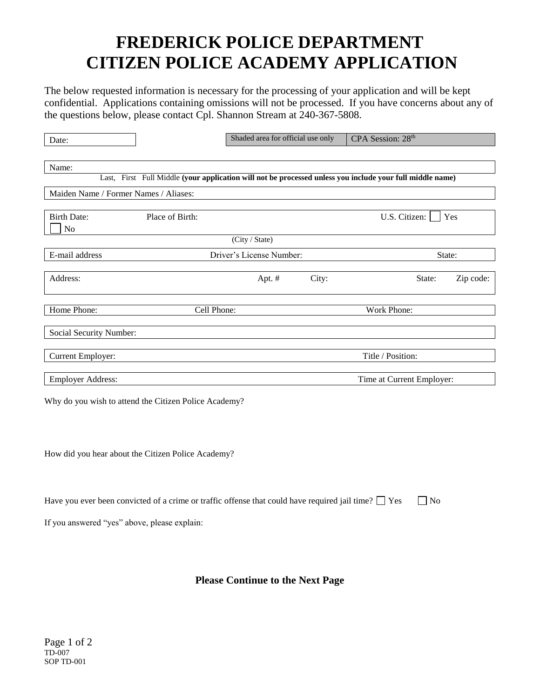## **FREDERICK POLICE DEPARTMENT CITIZEN POLICE ACADEMY APPLICATION**

The below requested information is necessary for the processing of your application and will be kept confidential. Applications containing omissions will not be processed. If you have concerns about any of the questions below, please contact Cpl. Shannon Stream at 240-367-5808.

| Date:                                                                                                     |                 | Shaded area for official use only  |                   | CPA Session: 28th         |           |  |  |
|-----------------------------------------------------------------------------------------------------------|-----------------|------------------------------------|-------------------|---------------------------|-----------|--|--|
|                                                                                                           |                 |                                    |                   |                           |           |  |  |
| Name:                                                                                                     |                 |                                    |                   |                           |           |  |  |
| Last, First Full Middle (your application will not be processed unless you include your full middle name) |                 |                                    |                   |                           |           |  |  |
| Maiden Name / Former Names / Aliases:                                                                     |                 |                                    |                   |                           |           |  |  |
|                                                                                                           |                 |                                    |                   |                           |           |  |  |
| <b>Birth Date:</b>                                                                                        | Place of Birth: |                                    |                   | U.S. Citizen:             | Yes       |  |  |
| N <sub>0</sub>                                                                                            |                 |                                    |                   |                           |           |  |  |
|                                                                                                           |                 | (City / State)                     |                   |                           |           |  |  |
| E-mail address                                                                                            |                 | Driver's License Number:<br>State: |                   |                           |           |  |  |
|                                                                                                           |                 |                                    |                   |                           |           |  |  |
| Address:                                                                                                  |                 | Apt. #                             | City:             | State:                    | Zip code: |  |  |
|                                                                                                           |                 |                                    |                   |                           |           |  |  |
| Home Phone:                                                                                               |                 | Work Phone:<br>Cell Phone:         |                   |                           |           |  |  |
|                                                                                                           |                 |                                    |                   |                           |           |  |  |
| Social Security Number:                                                                                   |                 |                                    |                   |                           |           |  |  |
|                                                                                                           |                 |                                    |                   |                           |           |  |  |
| Current Employer:                                                                                         |                 |                                    | Title / Position: |                           |           |  |  |
|                                                                                                           |                 |                                    |                   |                           |           |  |  |
| <b>Employer Address:</b>                                                                                  |                 |                                    |                   | Time at Current Employer: |           |  |  |
| Why do you wish to attend the Citizen Police Academy?                                                     |                 |                                    |                   |                           |           |  |  |
|                                                                                                           |                 |                                    |                   |                           |           |  |  |
|                                                                                                           |                 |                                    |                   |                           |           |  |  |
|                                                                                                           |                 |                                    |                   |                           |           |  |  |

How did you hear about the Citizen Police Academy?

| Have you ever been convicted of a crime or traffic offense that could have required jail time? $\Box$ Yes $\Box$ No |  |
|---------------------------------------------------------------------------------------------------------------------|--|
|---------------------------------------------------------------------------------------------------------------------|--|

If you answered "yes" above, please explain:

**Please Continue to the Next Page**